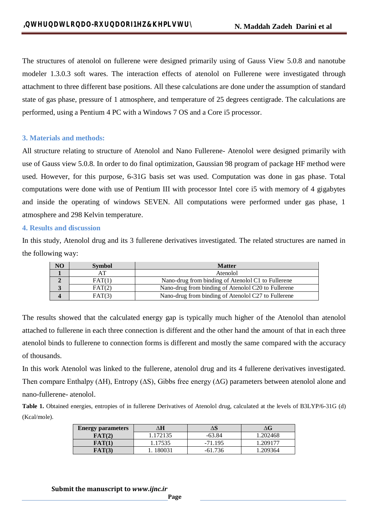The structures of atenolol on fullerene were designed primarily using of Gauss View 5.0.8 and nanotube modeler 1.3.0.3 soft wares. The interaction effects of atenolol on Fullerene were investigated through attachment to three different base positions. All these calculations are done under the assumption of standard state of gas phase, pressure of 1 atmosphere, and temperature of 25 degrees centigrade. The calculations are performed, using a Pentium 4 PC with a Windows 7 OS and a Core i5 processor.

#### **3. Materials and methods:**

All structure relating to structure of Atenolol and Nano Fullerene- Atenolol were designed primarily with use of Gauss view 5.0.8. In order to do final optimization, Gaussian 98 program of package HF method were used. However, for this purpose, 6-31G basis set was used. Computation was done in gas phase. Total computations were done with use of Pentium III with processor Intel core i5 with memory of 4 gigabytes and inside the operating of windows SEVEN. All computations were performed under gas phase, 1 atmosphere and 298 Kelvin temperature.

#### **4. Results and discussion**

In this study, Atenolol drug and its 3 fullerene derivatives investigated. The related structures are named in the following way:

| NO  | <b>Symbol</b> | <b>Matter</b>                                       |  |
|-----|---------------|-----------------------------------------------------|--|
|     | AТ            | Atenolol                                            |  |
|     | FAT(1)        | Nano-drug from binding of Atenolol C1 to Fullerene  |  |
| J., | FAT(2)        | Nano-drug from binding of Atenolol C20 to Fullerene |  |
|     | FAT(3)        | Nano-drug from binding of Atenolol C27 to Fullerene |  |

The results showed that the calculated energy gap is typically much higher of the Atenolol than atenolol attached to fullerene in each three connection is different and the other hand the amount of that in each three atenolol binds to fullerene to connection forms is different and mostly the same compared with the accuracy of thousands.

In this work Atenolol was linked to the fullerene, atenolol drug and its 4 fullerene derivatives investigated. Then compare Enthalpy (∆H), Entropy (∆S), Gibbs free energy (∆G) parameters between atenolol alone and nano-fullerene- atenolol.

**Table 1.** Obtained energies, entropies of in fullerene Derivatives of Atenolol drug, calculated at the levels of B3LYP/6-31G (d) (Kcal/mole).

| <b>Energy parameters</b> | Н        |           | ΔĠ       |
|--------------------------|----------|-----------|----------|
| FAT(2)                   | 1.172135 | $-63.84$  | 1.202468 |
| FAT(1                    | .17535   | $-71.195$ | .209177  |
| FAT(3)                   | 180031   | -61 736   | 1.209364 |

**Submit the manuscript to** *www.ijnc.ir*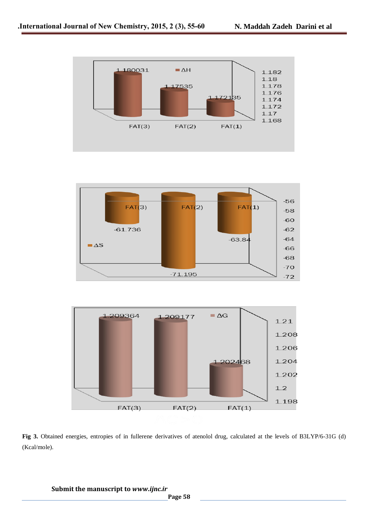





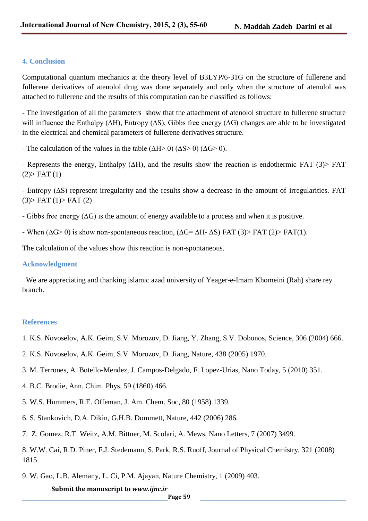# **4. Conclusion**

Computational quantum mechanics at the theory level of B3LYP/6-31G on the structure of fullerene and fullerene derivatives of atenolol drug was done separately and only when the structure of atenolol was attached to fullerene and the results of this computation can be classified as follows:

- The investigation of all the parameters show that the attachment of atenolol structure to fullerene structure will influence the Enthalpy (∆H), Entropy (∆S), Gibbs free energy (∆G) changes are able to be investigated in the electrical and chemical parameters of fullerene derivatives structure.

- The calculation of the values in the table ( $\Delta H > 0$ ) ( $\Delta S > 0$ ) ( $\Delta G > 0$ ).

- Represents the energy, Enthalpy (∆H), and the results show the reaction is endothermic FAT (3)> FAT  $(2)$ > FAT $(1)$ 

- Entropy (∆S) represent irregularity and the results show a decrease in the amount of irregularities. FAT  $(3)$ > FAT  $(1)$ > FAT  $(2)$ 

- Gibbs free energy (∆G) is the amount of energy available to a process and when it is positive.
- When ( $\Delta G$ > 0) is show non-spontaneous reaction, ( $\Delta G = \Delta H$   $\Delta S$ ) FAT (3)> FAT (2)> FAT(1).

The calculation of the values show this reaction is non-spontaneous.

### **Acknowledgment**

 We are appreciating and thanking islamic azad university of Yeager-e-Imam Khomeini (Rah) share rey branch.

# **References**

- 1. K.S. Novoselov, A.K. Geim, S.V. Morozov, D. Jiang, Y. Zhang, S.V. Dobonos, Science, 306 (2004) 666.
- 2. K.S. Novoselov, A.K. Geim, S.V. Morozov, D. Jiang, Nature, 438 (2005) 1970.
- 3. M. Terrones, A. Botello-Mendez, J. Campos-Delgado, F. Lopez-Urias, Nano Today, 5 (2010) 351.
- 4. B.C. Brodie, Ann. Chim. Phys, 59 (1860) 466.
- 5. W.S. Hummers, R.E. Offeman, J. Am. Chem. Soc, 80 (1958) 1339.
- 6. S. Stankovich, D.A. Dikin, G.H.B. Dommett, Nature, 442 (2006) 286.
- 7. Z. Gomez, R.T. Weitz, A.M. Bittner, M. Scolari, A. Mews, Nano Letters, 7 (2007) 3499.

8. W.W. Cai, R.D. Piner, F.J. Stedemann, S. Park, R.S. Ruoff, Journal of Physical Chemistry, 321 (2008) 1815.

9. W. Gao, L.B. Alemany, L. Ci, P.M. Ajayan, Nature Chemistry, 1 (2009) 403.

**Submit the manuscript to** *www.ijnc.ir*